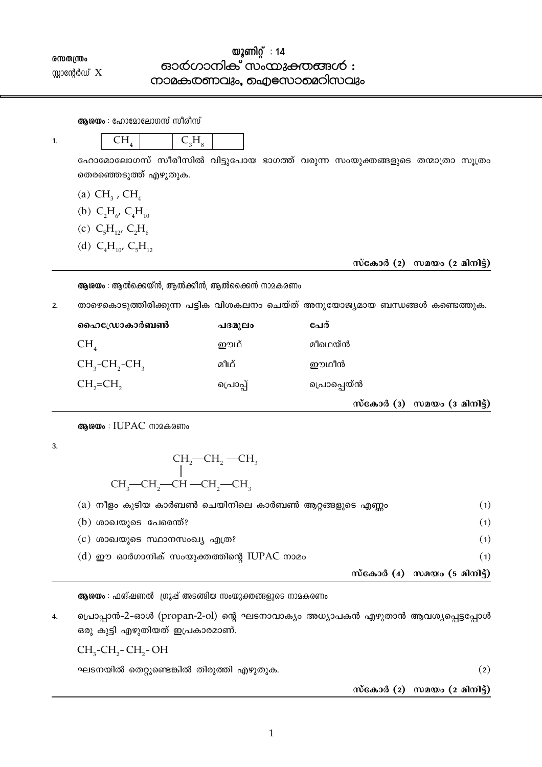# രസതന്ത്രം സ്റ്റാന്റേർഡ്  $X$

# യൂണിറ്റ് : 14 ഓർഗാനിക് സംയുക്തങ്ങൾ : നാമകത്തവും, ഐസോമെറിസവും

|    | <b>ആരയം</b> : ഹോമോലോഗസ് സിരിസ്                    |        |                                                                              |
|----|---------------------------------------------------|--------|------------------------------------------------------------------------------|
| 1. | CH <sub>4</sub><br>$C_{3}H_{8}$                   |        |                                                                              |
|    | തെരഞ്ഞെടുത്ത് എഴുതുക.                             |        | ഹോമോലോഗസ് സീരീസിൽ വിട്ടുപോയ ഭാഗത്ത് വരുന്ന സംയുക്തങ്ങളുടെ തന്മാത്രാ സൂത്രം   |
|    | (a) $CH3$ , $CH4$                                 |        |                                                                              |
|    | (b) $C_2H_{6}$ , $C_4H_{10}$                      |        |                                                                              |
|    | (c) $C_5H_{12}C_2H_6$                             |        |                                                                              |
|    | (d) $C_4H_{10'}C_5H_{12}$                         |        |                                                                              |
|    |                                                   |        | സ്കോർ (2) സമയം (2 മിനിട്ട്)                                                  |
|    | <b>ആശയം</b> : ആൽക്കെയ്ൻ, ആൽക്കിൻ, ആൽക്കൈൻ നാമകരണം |        |                                                                              |
|    |                                                   |        |                                                                              |
| 2. |                                                   |        | താഴെകൊടുത്തിരിക്കുന്ന പട്ടിക വിശകലനം ചെയ്ത് അനുയോജ്യമായ ബന്ധങ്ങൾ കണ്ടെത്തുക. |
|    | ഹൈഡ്രോകാർബൺ                                       | പദമൂലം | പേര്                                                                         |
|    | $CH_{4}$                                          | ഈഥ്    | മീഥെയ്ൻ                                                                      |
|    | $CH3$ -CH <sub>2</sub> -CH <sub>3</sub>           | മീഥ്   | ഈഥീൻ                                                                         |
|    | $CH2=CH2$                                         | പൊപ്പ് | പൊപ്പെയ്ൻ                                                                    |

ആരയം : IUPAC നാമകരണം

 $\overline{3}$ .

$$
\begin{array}{c}\n\text{CH}_2\text{--CH}_2\text{--CH}_3\\ \mid\\ \text{CH}_3\text{--CH}_2\text{--CH}_2\text{--CH}_3\end{array}
$$

|                                                       | സ്കോർ (4) സമയം (5 മിനിട്ട്) |
|-------------------------------------------------------|-----------------------------|
| $(d)$ ഈ ഓർഗാനിക് സംയുക്തത്തിന്റെ IUPAC നാമം           | (1)                         |
| (c) ശാഖയുടെ സ്ഥാനസംഖ്യ എത്ര?                          | (1)                         |
| $(b)$ ശാഖയുടെ പേരെന്ത്?                               | (1)                         |
| (a) നീളം കൂടിയ കാർബൺ ചെയിനിലെ കാർബൺ ആറ്റങ്ങളുടെ എണ്ണം | (1)                         |

ആശയം : ഫങ്ഷണൽ ഗ്രൂപ്പ് അടങ്ങിയ സംയുക്തങ്ങളുടെ നാമകരണം

പ്രൊപ്പാൻ-2-ഓൾ (propan-2-ol) ന്റെ ഘടനാവാക്യം അധ്യാപകൻ എഴുതാൻ ആവശ്യപ്പെട്ടപ്പോൾ  $\overline{4}$ . ഒരു കുട്ടി എഴുതിയത് ഇപ്രകാരമാണ്.

 $CH<sub>3</sub>-CH<sub>2</sub>-CH<sub>3</sub>-OH$ 

ഘടനയിൽ തെറ്റുണ്ടെങ്കിൽ തിരുത്തി എഴുതുക.

 $(2)$ 

സ്കോർ  $(2)$  സമയം  $(2 \text{ and } 3)$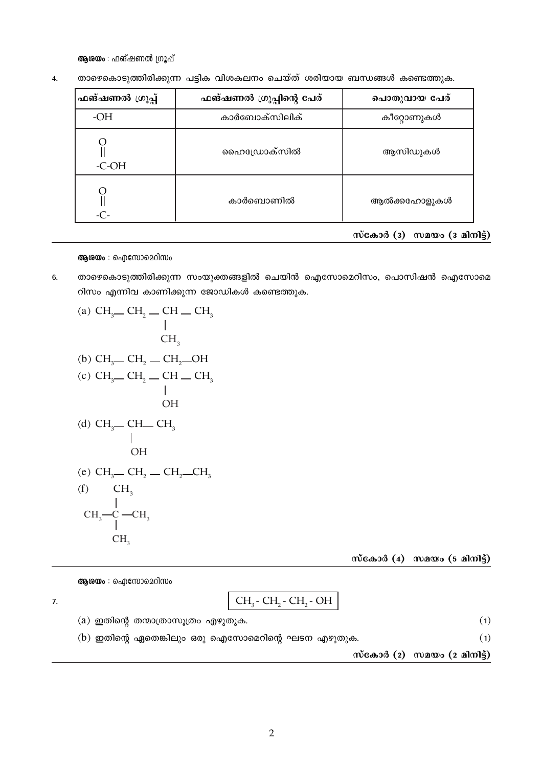ആശയം : ഫങ്ഷണൽ ഗ്രൂപ്പ്

| ഫങ്ഷണൽ ഗ്രൂപ്പ് | ഫങ്ഷണൽ ഗ്രൂപ്പിന്റെ പേര് | പൊതുവായ പേര് |  |
|-----------------|--------------------------|--------------|--|
| $-OH$           | കാർബോക്സിലിക്            | കീറ്റോണുകൾ   |  |
| $-C-OH$         | ഹൈഡ്രോക്സിൽ              | ആസിഡുകൾ      |  |
| $-C-$           | കാർബൊണിൽ                 | ആൽക്കഹോളുകൾ  |  |

താഴെകൊടുത്തിരിക്കുന്ന പട്ടിക വിശകലനം ചെയ്ത് ശരിയായ ബന്ധങ്ങൾ കണ്ടെത്തുക.  $\overline{4}$ .

സ്കോർ  $(3)$  സമയം  $(3 \text{ and } 3)$ 

## ആശയം : ഐസോമെറിസം

 $6.$ താഴെകൊടുത്തിരിക്കുന്ന സംയുക്തങ്ങളിൽ ചെയിൻ ഐസോമെറിസം, പൊസിഷൻ ഐസോമെ റിസം എന്നിവ കാണിക്കുന്ന ജോഡികൾ കണ്ടെത്തുക.

(a) 
$$
CH_3
$$
—  $CH_2$ —  $CH$ —  $CH_3$   
\n  
\n $CH_3$   
\n(b)  $CH_3$ —  $CH_2$ —  $CH_2$ — $OH$   
\n(c)  $CH_3$ —  $CH_2$ —  $CH$ —  $CH_3$   
\n  
\n $OH$   
\n(d)  $CH_3$ —  $CH$ —  $CH_3$   
\n  
\n $OH$   
\n(e)  $CH_3$ —  $CH_2$ —  $CH_2$ — $CH_3$   
\n(f)  $CH_3$   
\n $CH_3$ — $C$ — $CH_3$   
\n $CH_3$   
\n $CH_3$   
\n $CH_3$   
\n $CH_3$   
\n $CH_3$ 

 $m$ сал $\delta$  (4)  $m$ а $m$ о (5 а $m$ ) $\delta$ )

ആശയം : ഐസോമെറിസം

 $\overline{7}$ .

$$
\boxed{\text{CH}_3\text{-}\text{CH}_2\text{-}\text{CH}_2\text{-}\text{OH}}
$$

 $(a)$  ഇതിന്റെ തന്മാത്രാസൂത്രം എഴുതുക.  $(1)$  $(b)$  ഇതിന്റെ ഏതെങ്കിലും ഒരു ഐസോമെറിന്റെ ഘടന എഴുതുക.  $(1)$ സ്കോർ  $(2)$  സമയം  $(2 \text{ and } 3)$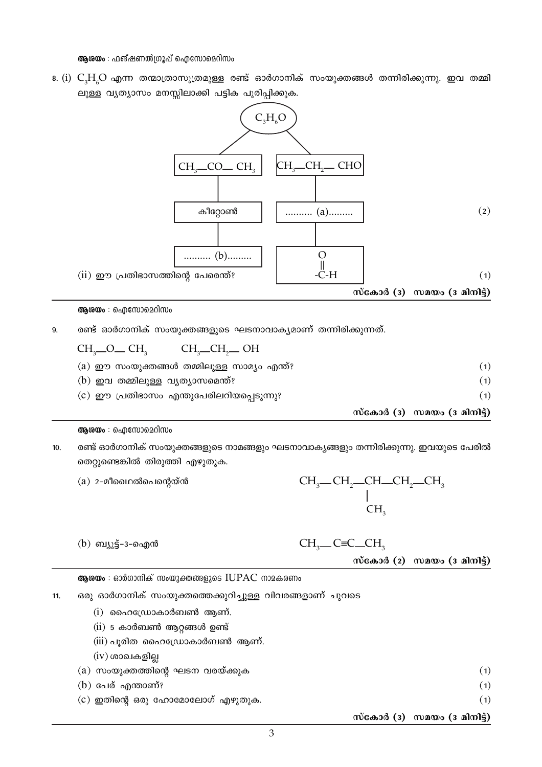സ്കോർ  $(2)$  സമയം  $(3 \text{ and } 3)$ ആശയം : ഓർഗാനിക് സംയുക്തങ്ങളുടെ IUPAC നാമകരണം ഒരു ഓർഗാനിക് സംയുക്തത്തെക്കുറിച്ചുള്ള വിവരങ്ങളാണ് ചുവടെ  $(i)$  ഹൈഡ്രോകാർബൺ ആണ്.  $(ii)$  5 കാർബൺ ആറ്റങ്ങൾ ഉണ്ട് (iii) പൂരിത ഹൈഡ്രോകാർബൺ ആണ്.  $(iv)$  ശാഖകളില്ല  $(a)$  സംയുക്തത്തിന്റെ ഘടന വരയ്ക്കുക  $(b)$  പേര് എന്താണ്?  $(c)$  ഇതിന്റെ ഒരു ഹോമോലോഗ് എഴുതുക.

(b) ബ്യൂട്ട്-3-ഐൻ

9.

 $11.$ 

 $CH<sub>3</sub>$   $OH<sub>3</sub>$ 

 $10.$ തെറ്റുണ്ടെങ്കിൽ തിരുത്തി എഴുതുക.  $(a)$  2-മീഥൈൽപെന്റെയ്ൻ

ആശയം : ഐസോമെറിസം

- രണ്ട് ഓർഗാനിക് സംയുക്തങ്ങളുടെ നാമങ്ങളും ഘടനാവാകൃങ്ങളും തന്നിരിക്കുന്നു. ഇവയുടെ പേരിൽ
- $(a)$  ഈ സംയുക്തങ്ങൾ തമ്മിലുള്ള സാമ്യം എന്ത്?  $(1)$  $(b)$  ഇവ തമ്മിലുള്ള വൃത്യാസമെന്ത്?  $(1)$ (c) ഈ പ്രതിഭാസം എന്തുപേരിലറിയപ്പെടുന്നു?  $(1)$ സ്കോർ ( $3)$  സമയം  $(3 \text{ and } 5)$



CH<sub>3</sub>\_CH<sub>3</sub>\_CHO

ലുള്ള വൃത്യാസം മനസ്സിലാക്കി പട്ടിക പൂരിപ്പിക്കുക.

CH<sub>2</sub>CO<sub>-</sub>CH<sub>2</sub>

 $CH<sub>2</sub>$   $CH<sub>2</sub>$   $OH$ 

 $8.$  (i)  $C_2H_2O$  എന്ന തന്മാത്രാസുത്രമുള്ള രണ്ട് ഓർഗാനിക് സംയുക്തങ്ങൾ തന്നിരിക്കുന്നു. ഇവ തമ്മി

 $C, H, O$ 

ആരയം : ഫങ്ഷണൽഗ്രൂപ്പ് ഐസോമെറിസം

.<br>CH.

- $CH<sub>2</sub>$  C=C  $CH<sub>2</sub>$
- -
	-
- 

 $(1)$ 

 $(1)$ 

 $(1)$ 

സ്കോർ ( $3)$  സമയം ( $3$  മിനിട്ട്)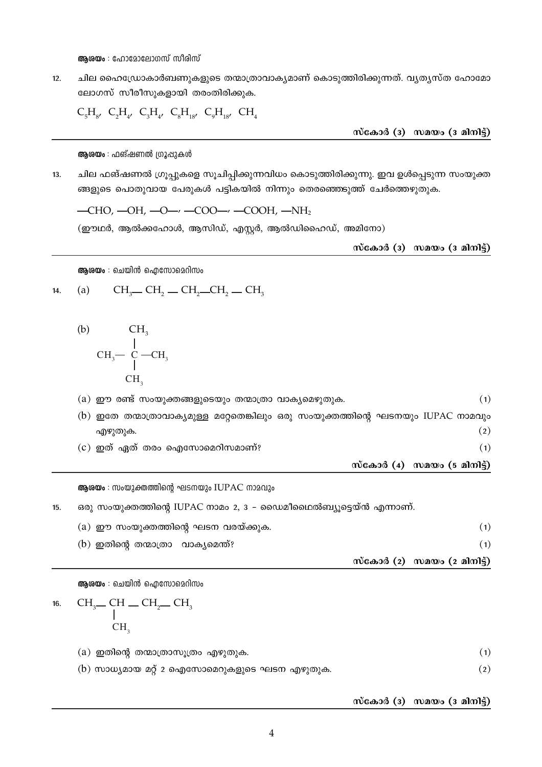**ആരയം** : ഹോമോലോഗസ് സീരിസ്

 $12.$ ചില ഹൈഡ്രോകാർബണുകളുടെ തന്മാത്രാവാകൃമാണ് കൊടുത്തിരിക്കുന്നത്. വൃതൃസ്ത ഹോമോ ലോഗസ് സീരീസുകളായി തരംതിരിക്കുക.

 $C_5H_{8'} C_2H_{4'} C_3H_{4'} C_8H_{18'} C_9H_{18'} CH_4$ 

സ്കോർ ( $\overline{3}$ ) സമയം ( $\overline{3}$  മിനിട്ട്)

ആരയം : ഫങ്ഷണൽ ഗ്രൂപ്പുകൾ

 $13.$ ചില ഫങ്ഷണൽ ഗ്രൂപ്പുകളെ സൂചിപ്പിക്കുന്നവിധം കൊടുത്തിരിക്കുന്നു. ഇവ ഉൾപ്പെടുന്ന സംയുക്ത ങ്ങളുടെ പൊതുവായ പേരുകൾ പട്ടികയിൽ നിന്നും തെരഞ്ഞെടുത്ത് ചേർത്തെഴുതുക.

 $-CHO$ ,  $-OH$ ,  $-O - \prime - COO - \prime - COOH$ ,  $-NH_2$ 

(ഈഥർ, ആൽക്കഹോൾ, ആസിഡ്, എസ്റ്റർ, ആൽഡിഹൈഡ്, അമിനോ)

സ്കോർ (3) സമയം (3 മിനിട്ട്)

ആശയം : ചെയിൻ ഐസോമെറിസം

14. (a) 
$$
CH_3 = CH_2 = CH_2 = CH_2 = CH_3
$$

(b) 
$$
\begin{array}{ccc}\nCH_3 \\
 & | \\
CH_3 - C & -CH_3 \\
 & | \\
CH_3\n\end{array}
$$

 $(a)$  ഈ രണ്ട് സംയുക്തങ്ങളുടെയും തന്മാത്രാ വാകൃമെഴുതുക.  $(1)$ (b) ഇതേ തന്മാത്രാവാക്യമുള്ള മറ്റേതെങ്കിലും ഒരു സംയുക്തത്തിന്റെ ഘടനയും IUPAC നാമവും  $(2)$ എഴുതുക.  $(c)$  ഇത് ഏത് തരം ഐസോമെറിസമാണ്?  $(1)$ 

സ്കോർ  $(4)$  സമയം  $(5$  മിനിട്ട്)

ആശയം : സംയുക്തത്തിന്റെ ഘടനയും IUPAC നാമവും

ഒരു സംയുക്തത്തിന്റെ IUPAC നാമം 2, 3 – ഡൈമീഥൈൽബ്യൂട്ടെയ്ൻ എന്നാണ്.  $15.$ 

|  |                                                                             | സ്കോർ (2) സമയം (2 മിനിട്ട്) |
|--|-----------------------------------------------------------------------------|-----------------------------|
|  |                                                                             |                             |
|  |                                                                             |                             |
|  | (a) ഈ സംയുക്തത്തിന്റെ ഘടന വരയ്ക്കുക.<br>(b) ഇതിന്റെ തന്മാത്രാ  വാക്യമെന്ത്? |                             |

**ആരയം** : ചെയിൻ ഐസോമെറിസം

16. 
$$
\begin{array}{cc}\n\text{CH}_3 \quad \text{CH}_2 \quad \text{CH}_2 \quad \text{CH}_3 \\
\mid \\
\text{CH}_3\n\end{array}
$$

 $(a)$  ഇതിന്റെ തന്മാത്രാസൂത്രം എഴുതുക.  $(1)$  $(b)$  സാധ്യമായ മറ്റ് 2 ഐസോമെറുകളുടെ ഘടന എഴുതുക.  $(2)$ 

സ്കോർ ( $3)$  സമയം  $(3 \text{ and } 3)$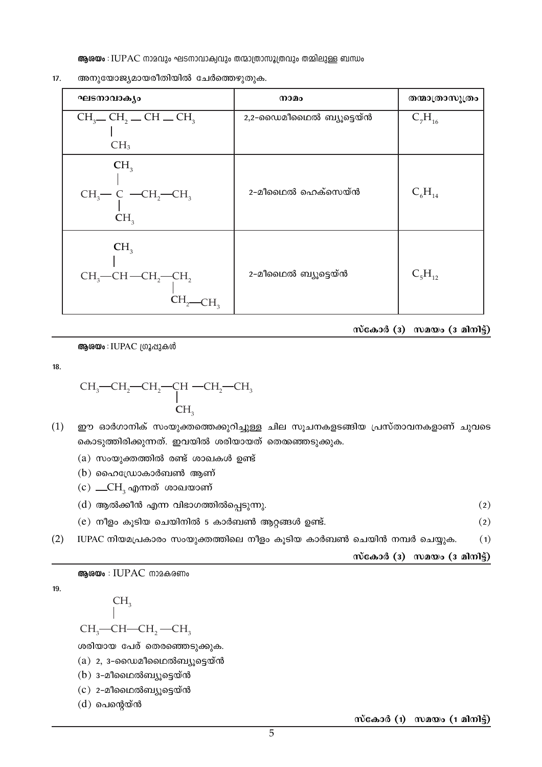ആരയം : IUPAC നാമവും ഘടനാവാക്വവും തന്മാത്രാസൂത്രവും തമ്മിലുള്ള ബന്ധം

 $17.$ അനുയോജ്യമായരീതിയിൽ ചേർത്തെഴുതുക.

| ഘടനാവാകൃം                                                                                          | നാമം                    | തന്മാത്രാസൂത്രം |
|----------------------------------------------------------------------------------------------------|-------------------------|-----------------|
| $CH_3$ — $CH_2$ — $CH$ — $CH_3$                                                                    | 2,2-ഡൈമീഥൈൽ ബ്യൂട്ടെയ്ൻ | $C_7H_{16}$     |
| CH <sub>3</sub>                                                                                    |                         |                 |
| CH <sub>3</sub><br>$CH_3$ – C – CH <sub>2</sub> – CH <sub>3</sub><br>CH <sub>3</sub>               | 2-മീഥൈൽ ഹെക്സെയ്ൻ       | $C_6H_{14}$     |
| CH <sub>3</sub><br>$CH_3$ —CH—CH <sub>2</sub> —CH <sub>2</sub><br>CH <sub>2</sub> —CH <sub>3</sub> | 2-മീഥൈൽ ബ്യൂട്ടെയ്ൻ     | $C_5H_{12}$     |

സ്കോർ ( $\overline{3}$ ) സമയം ( $\overline{3}$  മിനിട്ട്)

ആശയം : IUPAC ഗ്രൂപ്പുകൾ

 $18.$ 

$$
\begin{array}{c}\n\text{CH}_{3}\text{--CH}_{2}\text{--CH}_{2}\text{--CH}_{2}\text{--CH}_{3} \\
\text{--CH}_{3} \\
\text{--CH}_{3}\n\end{array}
$$

- $(1)$ ഈ ഓർഗാനിക് സംയുക്തത്തെക്കുറിച്ചുള്ള ചില സൂചനകളടങ്ങിയ പ്രസ്താവനകളാണ് ചുവടെ കൊടുത്തിരിക്കുന്നത്. ഇവയിൽ ശരിയായത് തെരുഞ്ഞടുക്കുക.
	- $(a)$  സംയുക്തത്തിൽ രണ്ട് ശാഖകൾ ഉണ്ട്
	- $(b)$  ഹൈഡ്രോകാർബൺ ആണ്
	- (c)  $\_\_CH_3$ എന്നത് ശാഖയാണ്
	- $(d)$  ആൽക്കീൻ എന്ന വിഭാഗത്തിൽപ്പെടുന്നു.  $(2)$
	- $(e)$  നീളം കൂടിയ ചെയിനിൽ 5 കാർബൺ ആറ്റങ്ങൾ ഉണ്ട്.  $(2)$
- $(2)$ IUPAC നിയമപ്രകാരം സംയുക്തത്തിലെ നീളം കൂടിയ കാർബൺ ചെയിൻ നമ്പർ ചെയ്യുക.  $(1)$

സ്കോർ  $(3)$  സമയം  $(3 \text{ and } 3)$ 

അശയം : IUPAC നാമകരണം

19.

 $CH<sub>3</sub>$ —CH—CH<sub>2</sub> —CH<sub>3</sub>

 $CH<sub>2</sub>$ 

ശരിയായ പേര് തെരഞ്ഞെടുക്കുക.

- $(a)$  2, 3-ഡൈമീഥൈൽബ്യൂട്ടെയ്ൻ
- $(b)$  3-മീഥൈൽബ്യൂട്ടെയ്ൻ
- $(c)$  2-മീഥൈൽബ്യൂട്ടെയ്ൻ

 $(d)$  പെന്റെയ്ൻ

സ്കോർ (1) സമയം (1 മിനിട്ട്)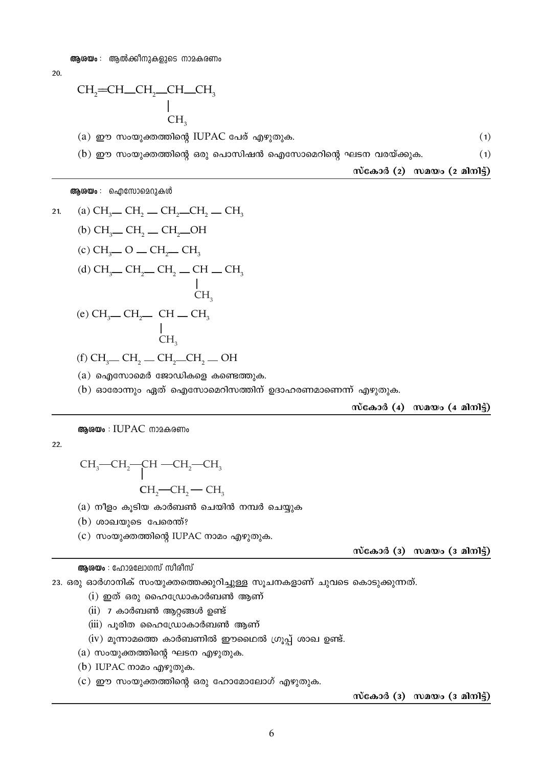20.

$$
\begin{array}{c}\n\text{CH}_{2}\text{=} \text{CH}_{2}\text{CH}_{2}\text{CH}_{2}\text{CH}_{3} \\
\mid \\
\text{CH}_{3}\n\end{array}
$$

 $(a)$  ഈ സംയുക്തത്തിന്റെ IUPAC പേര് എഴുതുക.  $(1)$ 

 $(b)$  ഈ സംയുക്തത്തിന്റെ ഒരു പൊസിഷൻ ഐസോമെറിന്റെ ഘടന വരയ്ക്കുക.  $(1)$ 

സ്കോർ  $(2)$  സമയം  $(2 \text{ and } 3)$ 

ആശയം : ഐസോമെറുകൾ

 $(a)$  ഐസോമെർ ജോഡികളെ കണ്ടെത്തുക.

 $(b)$  ഓരോന്നും ഏത് ഐസോമെറിസത്തിന് ഉദാഹരണമാണെന്ന് എഴുതുക.

സ്കോർ  $(4)$  സമയം  $(4 \text{ and } 5)$ 

#### ആരയം : IUPAC നാമകരണം

22.

$$
\mathrm{CH_{3}\text{--}CH_{2}\text{--}CH\text{--}CH_{2}\text{--}CH_{3}}
$$

 $CH_2$ — $CH_2$ — $CH_3$ 

 $(a)$  നീളം കൂടിയ കാർബൺ ചെയിൻ നമ്പർ ചെയ്യുക

 $(b)$  ശാഖയുടെ പേരെന്ത്?

 $(c)$  സംയുക്തത്തിന്റെ IUPAC നാമം എഴുതുക.

സ്കോർ ( $\overline{3}$ ) സമയം ( $\overline{3}$  മിനിട്ട്)

### ആരയം : ഹോമലോഗസ് സിരിസ്

23. ഒരു ഓർഗാനിക് സംയുക്തത്തെക്കുറിച്ചുള്ള സൂചനകളാണ് ചുവടെ കൊടുക്കുന്നത്.

- $(i)$  ഇത് ഒരു ഹൈഡ്രോകാർബൺ ആണ്
- $(ii)$  7 കാർബൺ ആറ്റങ്ങൾ ഉണ്ട്
- (iii) പൂരിത ഹൈഡ്രോകാർബൺ ആണ്
- $(iv)$  മൂന്നാമത്തെ കാർബണിൽ ഈഥൈൽ ഗ്രൂപ്പ് ശാഖ ഉണ്ട്.

 $(a)$  സംയുക്തത്തിന്റെ ഘടന എഴുതുക.

- $(b)$  IUPAC നാമം എഴുതുക.
- $(c)$  ഈ സംയുക്തത്തിന്റെ ഒരു ഹോമോലോഗ് എഴുതുക.

സ്കോർ ( $\overline{3}$ ) സമയം ( $\overline{3}$  മിനിട്ട്)